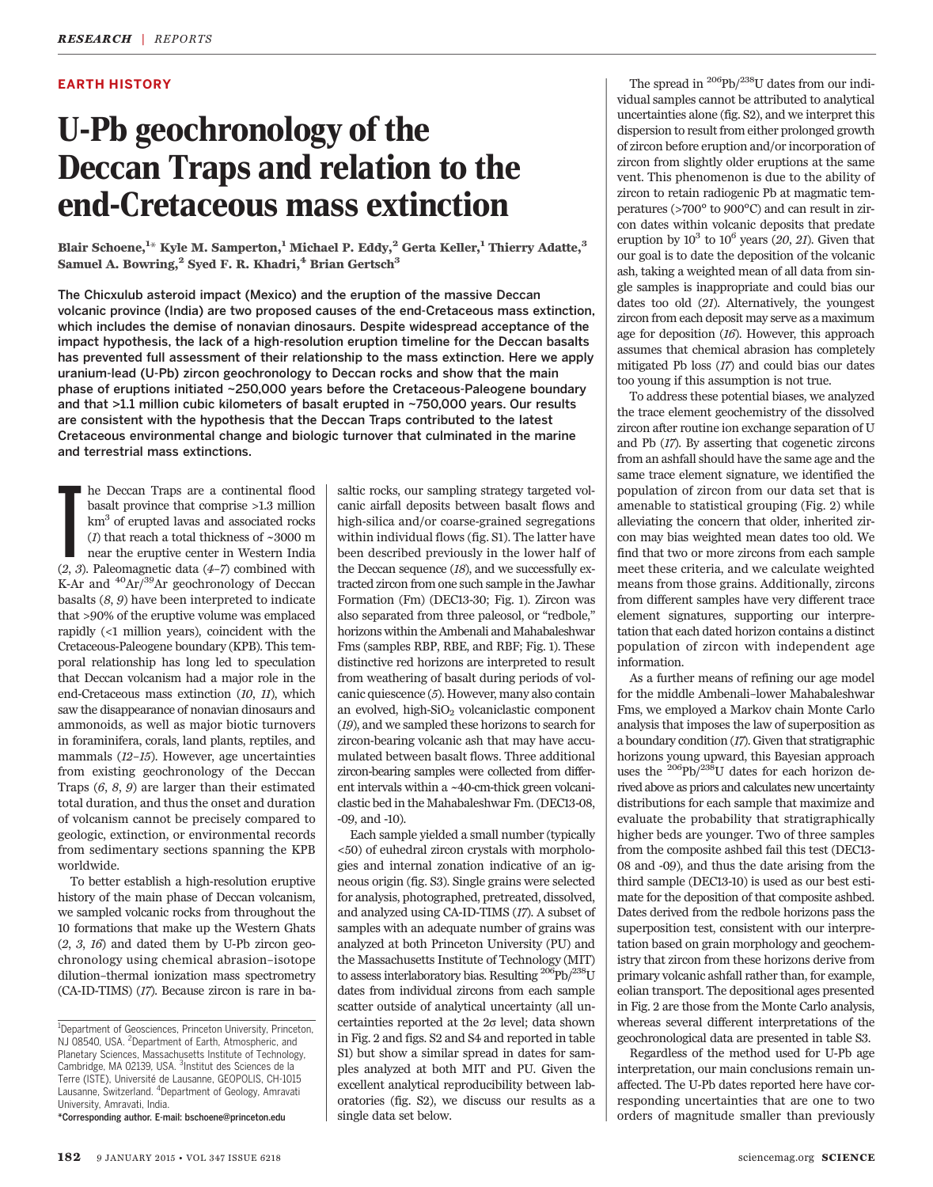## EARTH HISTORY

# U-Pb geochronology of the Deccan Traps and relation to the end-Cretaceous mass extinction

Blair Schoene, $^{\rm 1\ast}$  Kyle M. Samperton, $^{\rm 1}$  Michael P. Eddy, $^{\rm 2}$  Gerta Keller, $^{\rm 1}$  Thierry Adatte, $^{\rm 3}$ Samuel A. Bowring,<sup>2</sup> Syed F. R. Khadri,<sup>4</sup> Brian Gertsch<sup>3</sup>

The Chicxulub asteroid impact (Mexico) and the eruption of the massive Deccan volcanic province (India) are two proposed causes of the end-Cretaceous mass extinction, which includes the demise of nonavian dinosaurs. Despite widespread acceptance of the impact hypothesis, the lack of a high-resolution eruption timeline for the Deccan basalts has prevented full assessment of their relationship to the mass extinction. Here we apply uranium-lead (U-Pb) zircon geochronology to Deccan rocks and show that the main phase of eruptions initiated ~250,000 years before the Cretaceous-Paleogene boundary and that >1.1 million cubic kilometers of basalt erupted in ~750,000 years. Our results are consistent with the hypothesis that the Deccan Traps contributed to the latest Cretaceous environmental change and biologic turnover that culminated in the marine and terrestrial mass extinctions.

**F** he Deccan Traps are a continental flood basalt province that comprise >1.3 million km<sup>3</sup> of erupted lavas and associated rocks (*1*) that reach a total thickness of  $\sim$ 3000 m near the eruptive center in Western India he Deccan Traps are a continental flood basalt province that comprise >1.3 million km3 of erupted lavas and associated rocks (1) that reach a total thickness of  $\sim\!3000$  m near the eruptive center in Western India K-Ar and  $^{40}Ar/^{39}Ar$  geochronology of Deccan basalts  $(8, 9)$  have been interpreted to indicate that >90% of the eruptive volume was emplaced rapidly (<1 million years), coincident with the Cretaceous-Paleogene boundary (KPB). This temporal relationship has long led to speculation that Deccan volcanism had a major role in the end-Cretaceous mass extinction (10, 11), which saw the disappearance of nonavian dinosaurs and ammonoids, as well as major biotic turnovers in foraminifera, corals, land plants, reptiles, and mammals (12–15). However, age uncertainties from existing geochronology of the Deccan Traps (6, 8, 9) are larger than their estimated total duration, and thus the onset and duration of volcanism cannot be precisely compared to geologic, extinction, or environmental records from sedimentary sections spanning the KPB worldwide.

To better establish a high-resolution eruptive history of the main phase of Deccan volcanism, we sampled volcanic rocks from throughout the 10 formations that make up the Western Ghats  $(2, 3, 16)$  and dated them by U-Pb zircon geochronology using chemical abrasion–isotope dilution–thermal ionization mass spectrometry (CA-ID-TIMS) (17). Because zircon is rare in ba-

\*Corresponding author. E-mail: bschoene@princeton.edu

saltic rocks, our sampling strategy targeted volcanic airfall deposits between basalt flows and high-silica and/or coarse-grained segregations within individual flows (fig. S1). The latter have been described previously in the lower half of the Deccan sequence (18), and we successfully extracted zircon from one such sample in the Jawhar Formation (Fm) (DEC13-30; Fig. 1). Zircon was also separated from three paleosol, or "redbole," horizons within the Ambenali and Mahabaleshwar Fms (samples RBP, RBE, and RBF; Fig. 1). These distinctive red horizons are interpreted to result from weathering of basalt during periods of volcanic quiescence (5). However, many also contain an evolved, high- $SiO<sub>2</sub>$  volcaniclastic component (19), and we sampled these horizons to search for zircon-bearing volcanic ash that may have accumulated between basalt flows. Three additional zircon-bearing samples were collected from different intervals within a ~40-cm-thick green volcaniclastic bed in the Mahabaleshwar Fm. (DEC13-08, -09, and -10).

Each sample yielded a small number (typically <50) of euhedral zircon crystals with morphologies and internal zonation indicative of an igneous origin (fig. S3). Single grains were selected for analysis, photographed, pretreated, dissolved, and analyzed using CA-ID-TIMS (17). A subset of samples with an adequate number of grains was analyzed at both Princeton University (PU) and the Massachusetts Institute of Technology (MIT) to assess interlaboratory bias. Resulting  $^{206}Pb/^{238}U$ dates from individual zircons from each sample scatter outside of analytical uncertainty (all uncertainties reported at the  $2\sigma$  level; data shown in Fig. 2 and figs. S2 and S4 and reported in table S1) but show a similar spread in dates for samples analyzed at both MIT and PU. Given the excellent analytical reproducibility between laboratories (fig. S2), we discuss our results as a single data set below.

The spread in  $^{206}Pb/^{238}U$  dates from our individual samples cannot be attributed to analytical uncertainties alone (fig. S2), and we interpret this dispersion to result from either prolonged growth of zircon before eruption and/or incorporation of zircon from slightly older eruptions at the same vent. This phenomenon is due to the ability of zircon to retain radiogenic Pb at magmatic temperatures (>700° to 900°C) and can result in zircon dates within volcanic deposits that predate eruption by  $10^3$  to  $10^6$  years (20, 21). Given that our goal is to date the deposition of the volcanic ash, taking a weighted mean of all data from single samples is inappropriate and could bias our dates too old (21). Alternatively, the youngest zircon from each deposit may serve as a maximum age for deposition (16). However, this approach assumes that chemical abrasion has completely mitigated Pb loss (17) and could bias our dates too young if this assumption is not true.

To address these potential biases, we analyzed the trace element geochemistry of the dissolved zircon after routine ion exchange separation of U and Pb (17). By asserting that cogenetic zircons from an ashfall should have the same age and the same trace element signature, we identified the population of zircon from our data set that is amenable to statistical grouping (Fig. 2) while alleviating the concern that older, inherited zircon may bias weighted mean dates too old. We find that two or more zircons from each sample meet these criteria, and we calculate weighted means from those grains. Additionally, zircons from different samples have very different trace element signatures, supporting our interpretation that each dated horizon contains a distinct population of zircon with independent age information.

As a further means of refining our age model for the middle Ambenali–lower Mahabaleshwar Fms, we employed a Markov chain Monte Carlo analysis that imposes the law of superposition as a boundary condition (17). Given that stratigraphic horizons young upward, this Bayesian approach uses the 206Pb/238U dates for each horizon derived above as priors and calculates new uncertainty distributions for each sample that maximize and evaluate the probability that stratigraphically higher beds are younger. Two of three samples from the composite ashbed fail this test (DEC13- 08 and -09), and thus the date arising from the third sample (DEC13-10) is used as our best estimate for the deposition of that composite ashbed. Dates derived from the redbole horizons pass the superposition test, consistent with our interpretation based on grain morphology and geochemistry that zircon from these horizons derive from primary volcanic ashfall rather than, for example, eolian transport. The depositional ages presented in Fig. 2 are those from the Monte Carlo analysis, whereas several different interpretations of the geochronological data are presented in table S3.

Regardless of the method used for U-Pb age interpretation, our main conclusions remain unaffected. The U-Pb dates reported here have corresponding uncertainties that are one to two orders of magnitude smaller than previously

<sup>&</sup>lt;sup>1</sup>Department of Geosciences, Princeton University, Princeton, NJ 08540, USA. <sup>2</sup>Department of Earth, Atmospheric, and Planetary Sciences, Massachusetts Institute of Technology, Cambridge, MA 02139, USA. <sup>3</sup>Institut des Sciences de la Terre (ISTE), Université de Lausanne, GEOPOLIS, CH-1015 Lausanne, Switzerland. <sup>4</sup> Department of Geology, Amravati University, Amravati, India.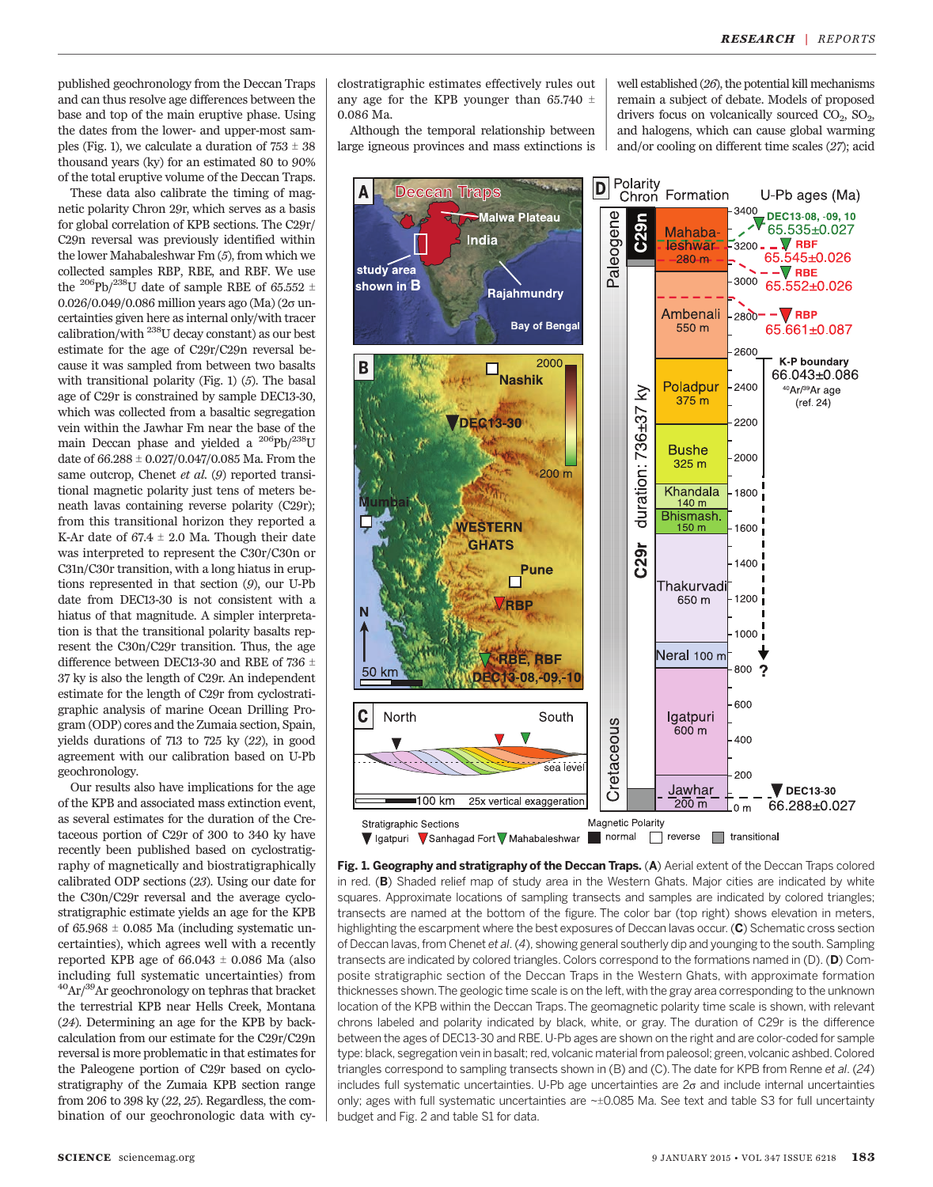published geochronology from the Deccan Traps and can thus resolve age differences between the base and top of the main eruptive phase. Using the dates from the lower- and upper-most samples (Fig. 1), we calculate a duration of  $753 \pm 38$ thousand years (ky) for an estimated 80 to 90% of the total eruptive volume of the Deccan Traps.

These data also calibrate the timing of magnetic polarity Chron 29r, which serves as a basis for global correlation of KPB sections. The C29r/ C29n reversal was previously identified within the lower Mahabaleshwar Fm (5), from which we collected samples RBP, RBE, and RBF. We use the <sup>206</sup>Pb/<sup>238</sup>U date of sample RBE of 65.552  $\pm$ 0.026/0.049/0.086 million years ago (Ma) ( $2\sigma$  uncertainties given here as internal only/with tracer calibration/with 238U decay constant) as our best estimate for the age of C29r/C29n reversal because it was sampled from between two basalts with transitional polarity (Fig. 1) (5). The basal age of C29r is constrained by sample DEC13-30, which was collected from a basaltic segregation vein within the Jawhar Fm near the base of the main Deccan phase and yielded a <sup>206</sup>Pb/<sup>238</sup>U date of  $66.288 \pm 0.027/0.047/0.085$  Ma. From the same outcrop, Chenet et al. (9) reported transitional magnetic polarity just tens of meters beneath lavas containing reverse polarity (C29r); from this transitional horizon they reported a K-Ar date of  $67.4 \pm 2.0$  Ma. Though their date was interpreted to represent the C30r/C30n or C31n/C30r transition, with a long hiatus in eruptions represented in that section (9), our U-Pb date from DEC13-30 is not consistent with a hiatus of that magnitude. A simpler interpretation is that the transitional polarity basalts represent the C30n/C29r transition. Thus, the age difference between DEC13-30 and RBE of 736  $\pm$ 37 ky is also the length of C29r. An independent estimate for the length of C29r from cyclostratigraphic analysis of marine Ocean Drilling Program (ODP) cores and the Zumaia section, Spain, yields durations of 713 to 725 ky (22), in good agreement with our calibration based on U-Pb geochronology.

Our results also have implications for the age of the KPB and associated mass extinction event, as several estimates for the duration of the Cretaceous portion of C29r of 300 to 340 ky have recently been published based on cyclostratigraphy of magnetically and biostratigraphically calibrated ODP sections (23). Using our date for the C30n/C29r reversal and the average cyclostratigraphic estimate yields an age for the KPB of  $65.968 \pm 0.085$  Ma (including systematic uncertainties), which agrees well with a recently reported KPB age of  $66.043 \pm 0.086$  Ma (also including full systematic uncertainties) from  $^{40}$ Ar/ $^{39}$ Ar geochronology on tephras that bracket the terrestrial KPB near Hells Creek, Montana (24). Determining an age for the KPB by backcalculation from our estimate for the C29r/C29n reversal is more problematic in that estimates for the Paleogene portion of C29r based on cyclostratigraphy of the Zumaia KPB section range from 206 to 398 ky (22, 25). Regardless, the combination of our geochronologic data with cy-

clostratigraphic estimates effectively rules out any age for the KPB younger than 65.740  $\pm$ 0.086 Ma.

Although the temporal relationship between large igneous provinces and mass extinctions is well established (26), the potential kill mechanisms remain a subject of debate. Models of proposed drivers focus on volcanically sourced  $CO<sub>2</sub>$ ,  $SO<sub>2</sub>$ , and halogens, which can cause global warming and/or cooling on different time scales (27); acid



Fig. 1. Geography and stratigraphy of the Deccan Traps. (A) Aerial extent of the Deccan Traps colored in red. (B) Shaded relief map of study area in the Western Ghats. Major cities are indicated by white squares. Approximate locations of sampling transects and samples are indicated by colored triangles; transects are named at the bottom of the figure. The color bar (top right) shows elevation in meters, highlighting the escarpment where the best exposures of Deccan lavas occur. (C) Schematic cross section of Deccan lavas, from Chenet et al. (4), showing general southerly dip and younging to the south. Sampling transects are indicated by colored triangles. Colors correspond to the formations named in (D). (D) Composite stratigraphic section of the Deccan Traps in the Western Ghats, with approximate formation thicknesses shown.The geologic time scale is on the left, with the gray area corresponding to the unknown location of the KPB within the Deccan Traps.The geomagnetic polarity time scale is shown, with relevant chrons labeled and polarity indicated by black, white, or gray. The duration of C29r is the difference between the ages of DEC13-30 and RBE. U-Pb ages are shown on the right and are color-coded for sample type: black, segregation vein in basalt; red, volcanic material from paleosol; green, volcanic ashbed. Colored triangles correspond to sampling transects shown in (B) and (C).The date for KPB from Renne et al. (24) includes full systematic uncertainties. U-Pb age uncertainties are  $2\sigma$  and include internal uncertainties only; ages with full systematic uncertainties are  $\sim\pm 0.085$  Ma. See text and table S3 for full uncertainty budget and Fig. 2 and table S1 for data.